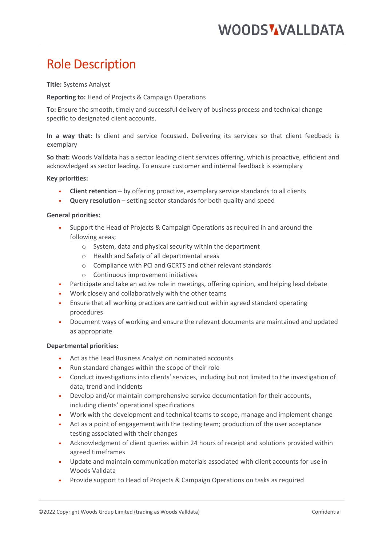# Role Description

**Title:** Systems Analyst

**Reporting to:** Head of Projects & Campaign Operations

**To:** Ensure the smooth, timely and successful delivery of business process and technical change specific to designated client accounts.

**In a way that:** Is client and service focussed. Delivering its services so that client feedback is exemplary

**So that:** Woods Valldata has a sector leading client services offering, which is proactive, efficient and acknowledged as sector leading. To ensure customer and internal feedback is exemplary

**Key priorities:** 

- **Client retention** by offering proactive, exemplary service standards to all clients
- **Query resolution** setting sector standards for both quality and speed

## **General priorities:**

- Support the Head of Projects & Campaign Operations as required in and around the following areas;
	- o System, data and physical security within the department
	- o Health and Safety of all departmental areas
	- o Compliance with PCI and GCRTS and other relevant standards
	- o Continuous improvement initiatives
- Participate and take an active role in meetings, offering opinion, and helping lead debate
- Work closely and collaboratively with the other teams
- Ensure that all working practices are carried out within agreed standard operating procedures
- Document ways of working and ensure the relevant documents are maintained and updated as appropriate

### **Departmental priorities:**

- Act as the Lead Business Analyst on nominated accounts
- Run standard changes within the scope of their role
- Conduct investigations into clients' services, including but not limited to the investigation of data, trend and incidents
- Develop and/or maintain comprehensive service documentation for their accounts, including clients' operational specifications
- Work with the development and technical teams to scope, manage and implement change
- Act as a point of engagement with the testing team; production of the user acceptance testing associated with their changes
- Acknowledgment of client queries within 24 hours of receipt and solutions provided within agreed timeframes
- Update and maintain communication materials associated with client accounts for use in Woods Valldata
- Provide support to Head of Projects & Campaign Operations on tasks as required